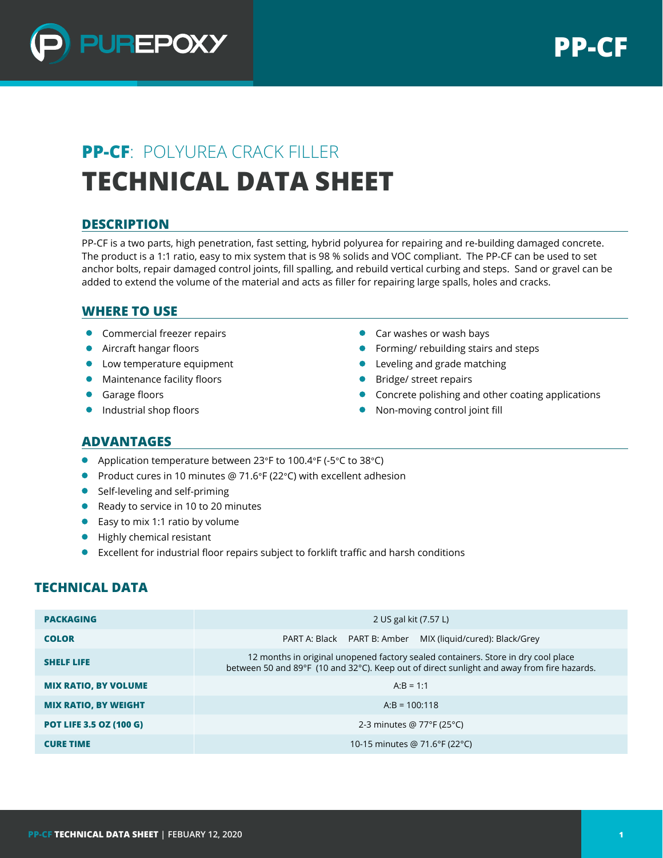

# **PP-CF**: POLYUREA CRACK FILLER **TECHNICAL DATA SHEET**

## **DESCRIPTION**

PP-CF is a two parts, high penetration, fast setting, hybrid polyurea for repairing and re-building damaged concrete. The product is a 1:1 ratio, easy to mix system that is 98 % solids and VOC compliant. The PP-CF can be used to set anchor bolts, repair damaged control joints, fill spalling, and rebuild vertical curbing and steps. Sand or gravel can be added to extend the volume of the material and acts as filler for repairing large spalls, holes and cracks.

## **WHERE TO USE**

- **Commercial freezer repairs**
- **Aircraft hangar floors**
- **•** Low temperature equipment
- **Maintenance facility floors**
- $\bullet$ Garage floors
- **Industrial shop floors**
- **Car washes or wash bays**
- Forming/ rebuilding stairs and steps
- **•** Leveling and grade matching
- **Bridge/ street repairs**
- Concrete polishing and other coating applications
- Non-moving control joint fill

#### **ADVANTAGES**

- Application temperature between 23°F to 100.4°F (-5°C to 38°C)
- Product cures in 10 minutes @ 71.6°F (22°C) with excellent adhesion
- Self-leveling and self-priming
- Ready to service in 10 to 20 minutes
- Easy to mix 1:1 ratio by volume
- **Highly chemical resistant**
- Excellent for industrial floor repairs subject to forklift traffic and harsh conditions

## **TECHNICAL DATA**

| <b>PACKAGING</b>               | 2 US gal kit (7.57 L)                                                                                                                                                           |
|--------------------------------|---------------------------------------------------------------------------------------------------------------------------------------------------------------------------------|
| <b>COLOR</b>                   | PART A: Black PART B: Amber MIX (liquid/cured): Black/Grey                                                                                                                      |
| <b>SHELF LIFE</b>              | 12 months in original unopened factory sealed containers. Store in dry cool place<br>between 50 and 89°F (10 and 32°C). Keep out of direct sunlight and away from fire hazards. |
| <b>MIX RATIO, BY VOLUME</b>    | $A:B = 1:1$                                                                                                                                                                     |
| <b>MIX RATIO, BY WEIGHT</b>    | $A:B = 100:118$                                                                                                                                                                 |
| <b>POT LIFE 3.5 OZ (100 G)</b> | 2-3 minutes @ 77°F (25°C)                                                                                                                                                       |
| <b>CURE TIME</b>               | 10-15 minutes @ 71.6°F (22°C)                                                                                                                                                   |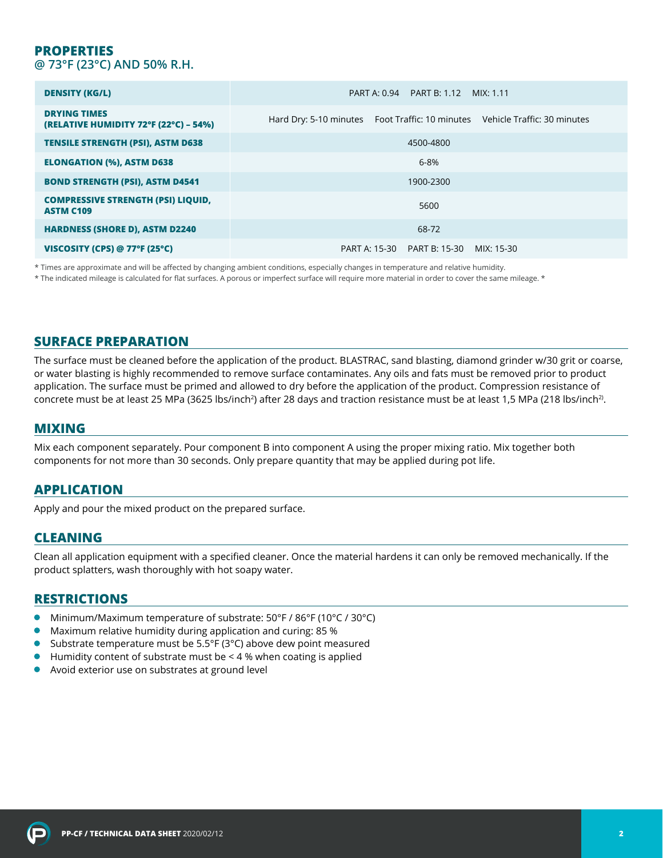#### **PROPERTIES @ 73°F (23°C) AND 50% R.H.**

| <b>DENSITY (KG/L)</b>                                         | PART B: 1.12 MIX: 1.11<br>PART A: 0.94                                      |
|---------------------------------------------------------------|-----------------------------------------------------------------------------|
| <b>DRYING TIMES</b><br>(RELATIVE HUMIDITY 72°F (22°C) - 54%)  | Hard Dry: 5-10 minutes Foot Traffic: 10 minutes Vehicle Traffic: 30 minutes |
| <b>TENSILE STRENGTH (PSI), ASTM D638</b>                      | 4500-4800                                                                   |
| <b>ELONGATION (%), ASTM D638</b>                              | $6 - 8%$                                                                    |
| <b>BOND STRENGTH (PSI), ASTM D4541</b>                        | 1900-2300                                                                   |
| <b>COMPRESSIVE STRENGTH (PSI) LIQUID,</b><br><b>ASTM C109</b> | 5600                                                                        |
| <b>HARDNESS (SHORE D), ASTM D2240</b>                         | 68-72                                                                       |
| VISCOSITY (CPS) @ 77°F (25°C)                                 | PART B: 15-30<br>PART A: 15-30<br>MIX: 15-30                                |

\* Times are approximate and will be affected by changing ambient conditions, especially changes in temperature and relative humidity.

\* The indicated mileage is calculated for flat surfaces. A porous or imperfect surface will require more material in order to cover the same mileage. \*

## **SURFACE PREPARATION**

The surface must be cleaned before the application of the product. BLASTRAC, sand blasting, diamond grinder w/30 grit or coarse, or water blasting is highly recommended to remove surface contaminates. Any oils and fats must be removed prior to product application. The surface must be primed and allowed to dry before the application of the product. Compression resistance of concrete must be at least 25 MPa (3625 lbs/inch<sup>2</sup>) after 28 days and traction resistance must be at least 1,5 MPa (218 lbs/inch<sup>2)</sup>.

#### **MIXING**

Mix each component separately. Pour component B into component A using the proper mixing ratio. Mix together both components for not more than 30 seconds. Only prepare quantity that may be applied during pot life.

#### **APPLICATION**

Apply and pour the mixed product on the prepared surface.

#### **CLEANING**

Clean all application equipment with a specified cleaner. Once the material hardens it can only be removed mechanically. If the product splatters, wash thoroughly with hot soapy water.

### **RESTRICTIONS**

- Minimum/Maximum temperature of substrate: 50°F / 86°F (10°C / 30°C)
- $\bullet$ Maximum relative humidity during application and curing: 85 %
- Substrate temperature must be 5.5°F (3°C) above dew point measured  $\bullet$
- $\bullet$  Humidity content of substrate must be < 4 % when coating is applied
- Avoid exterior use on substrates at ground level